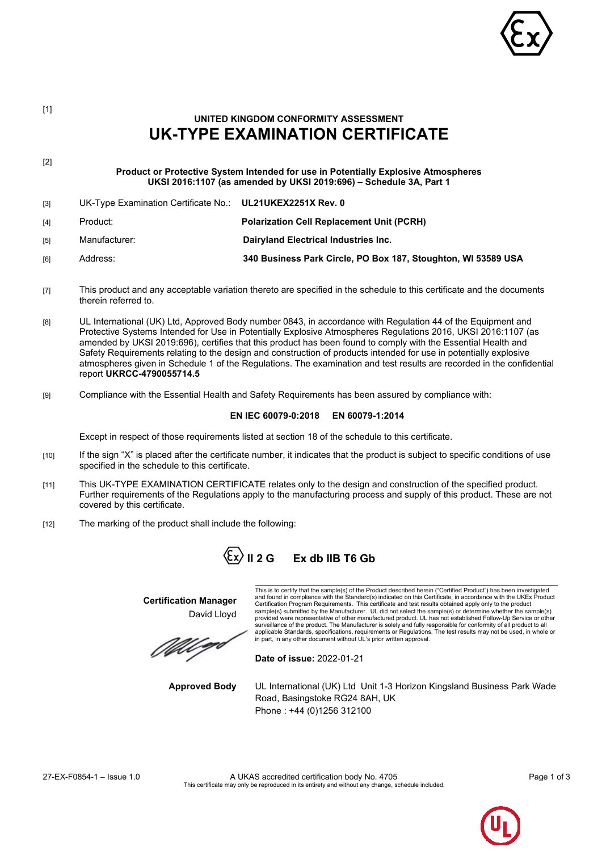

# **UK-TYPE EXAMINATION CERTIFICATE** [2] **Product or Protective System Intended for use in Potentially Explosive Atmospheres UKSI 2016:1107 (as amended by UKSI 2019:696) – Schedule 3A, Part 1** [3] UK-Type Examination Certificate No.: **UL21UKEX2251X Rev. 0** [4] Product: **Polarization Cell Replacement Unit (PCRH)** [5] Manufacturer: **Dairyland Electrical Industries Inc.** [6] Address: **340 Business Park Circle, PO Box 187, Stoughton, WI 53589 USA** [7] This product and any acceptable variation thereto are specified in the schedule to this certificate and the documents therein referred to. [8] UL International (UK) Ltd, Approved Body number 0843, in accordance with Regulation 44 of the Equipment and Protective Systems Intended for Use in Potentially Explosive Atmospheres Regulations 2016, UKSI 2016:1107 (as amended by UKSI 2019:696), certifies that this product has been found to comply with the Essential Health and Safety Requirements relating to the design and construction of products intended for use in potentially explosive atmospheres given in Schedule 1 of the Regulations. The examination and test results are recorded in the confidential report **UKRCC-4790055714.5**

**UNITED KINGDOM CONFORMITY ASSESSMENT**

[9] Compliance with the Essential Health and Safety Requirements has been assured by compliance with:

### **EN IEC 60079-0:2018 EN 60079-1:2014**

Except in respect of those requirements listed at section 18 of the schedule to this certificate.

- [10] If the sign "X" is placed after the certificate number, it indicates that the product is subject to specific conditions of use specified in the schedule to this certificate.
- [11] This UK-TYPE EXAMINATION CERTIFICATE relates only to the design and construction of the specified product. Further requirements of the Regulations apply to the manufacturing process and supply of this product. These are not covered by this certificate.
- [12] The marking of the product shall include the following:

# $\langle \xi x \rangle$  II 2 G Ex db IIB T6 Gb

**Certification Manager** David Lloyd

This is to certify that the sample(s) of the Product described herein ("Certified Product") has been investigated and found in compliance with the Standard(s) indicated on this Certificate, in accordance with the UKEx Producl<br>Certification Program Requirements. This certificate and test results obtained apply only to the product<br>samp provided were representative of other manufactured product. UL has not established Follow-Up Service or other surveillance of the product. The Manufacturer is solely and fully responsible for conformity of all product to all<br>applicable Standards, specifications, requirements or Regulations. The test results may not be used, in who

**Date of issue:** 2022-01-21

**Approved Body** UL International (UK) Ltd Unit 1-3 Horizon Kingsland Business Park Wade Road, Basingstoke RG24 8AH, UK Phone : +44 (0)1256 312100



[1]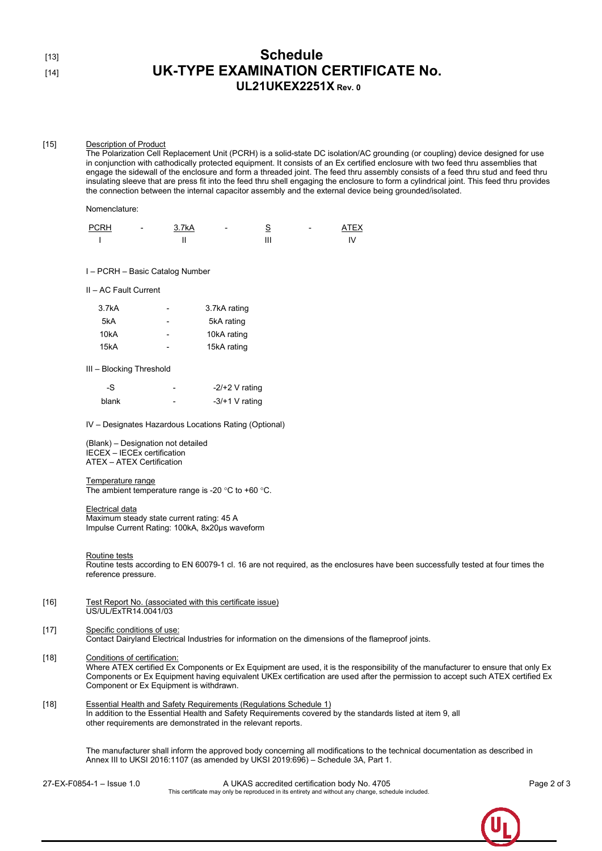## [13] **Schedule** [14] **UK-TYPE EXAMINATION CERTIFICATE No. UL21UKEX2251X Rev. 0**

#### [15] Description of Product

The Polarization Cell Replacement Unit (PCRH) is a solid-state DC isolation/AC grounding (or coupling) device designed for use in conjunction with cathodically protected equipment. It consists of an Ex certified enclosure with two feed thru assemblies that engage the sidewall of the enclosure and form a threaded joint. The feed thru assembly consists of a feed thru stud and feed thru insulating sleeve that are press fit into the feed thru shell engaging the enclosure to form a cylindrical joint. This feed thru provides the connection between the internal capacitor assembly and the external device being grounded/isolated.

Nomenclature:

| <b>PCRH</b> | $\,$ | 3.7kA |         | $\overline{\phantom{0}}$ | <b>ATFY</b> |
|-------------|------|-------|---------|--------------------------|-------------|
|             |      |       | '''<br> |                          |             |

I – PCRH – Basic Catalog Number

II – AC Fault Current

| 3.7kA |                          | 3.7kA rating |
|-------|--------------------------|--------------|
| 5kA   | -                        | 5kA rating   |
| 10kA  | $\overline{\phantom{0}}$ | 10kA rating  |
| 15kA  |                          | 15kA rating  |

III – Blocking Threshold

| -S    | $-2/+2$ V rating |
|-------|------------------|
| blank | $-3/+1$ V rating |

IV – Designates Hazardous Locations Rating (Optional)

(Blank) – Designation not detailed IECEX – IECEx certification ATEX – ATEX Certification

#### Temperature range

The ambient temperature range is -20 °C to +60 °C.

Electrical data

Maximum steady state current rating: 45 A Impulse Current Rating: 100kA, 8x20μs waveform

Routine tests

Routine tests according to EN 60079-1 cl. 16 are not required, as the enclosures have been successfully tested at four times the reference pressure.

[16] Test Report No. (associated with this certificate issue) US/UL/ExTR14.0041/03

#### [17] Specific conditions of use: Contact Dairyland Electrical Industries for information on the dimensions of the flameproof joints.

### [18] Conditions of certification:

Where ATEX certified Ex Components or Ex Equipment are used, it is the responsibility of the manufacturer to ensure that only Ex Components or Ex Equipment having equivalent UKEx certification are used after the permission to accept such ATEX certified Ex Component or Ex Equipment is withdrawn.

[18] Essential Health and Safety Requirements (Regulations Schedule 1) In addition to the Essential Health and Safety Requirements covered by the standards listed at item 9, all other requirements are demonstrated in the relevant reports.

> The manufacturer shall inform the approved body concerning all modifications to the technical documentation as described in Annex III to UKSI 2016:1107 (as amended by UKSI 2019:696) – Schedule 3A, Part 1.